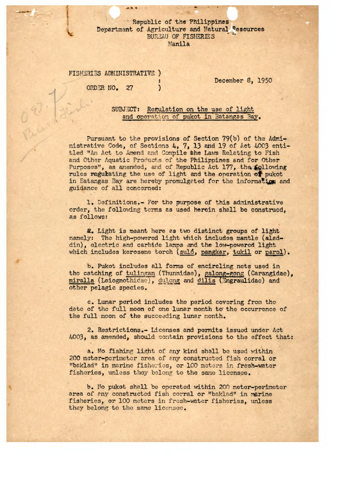## Republic of the Philippines Department of Agriculture and Natural Resources BUREAU OF FISHERIES Manila

# FISHERIES ADMINISTRATIVE )

 $\overline{\phantom{0}}$ 

ORD NO. **27** )

December 8, 1950

# SUBJECT: Regulation on the use of light and operation of pukot in Batangas Bay.

Pursuant to the provisions of Section 79(b) of the Administrative Code, of Sections 4, 7, 13 and 19 of Act 4003 entitled "An Act to Amend and Compile the Laws Relating to Fish and Other Aquatic Products of the Philippines and for Other Purposes", as amended, and of Republic Act 177, the following rules regulating the use of light and the operation of pukot in Batangas Bay are hereby promulgeted for the information and guidance of all concerned:

1. Definitions.- For the purpose of this administrative order, the following terms as used herein shall be construed, as follows:

. Light is meant here as two distinct groups of light namely: The high-powered light which includes mantle (aladdin), electric and carbide lamps and the low-powered light which includes kerosene torch (suló, pangkar, tukil or parol).

b. Pukot includes all forms of encircling nets used in the catching of tulingan (Thunnidae), galong-gong (Carangidae), miralla (Leiognothidae), <u>dulong</u> and <u>dilis</u> (Engraulidae) and other pelagic species.

c. Lunar period includes the period covering from the date of the full moon of one lunar month to the occurrence of the full moon of the succeeding lunar month.

2. Restrictions.- Licenses and permits issued under Act 4003, as amended, should contain provisions to the effect that:

a. No fishing light of any kind shall be used within 200 meter-perimeter area of any constructed fish corral or "baklad" in marine fisheries, or 100 meters in fresh-water fisheries, unless they belong to the same licensee.

b. No pukot shall be operated within 200 meter-perimeter area of any constructed fish corral or "baklad" in marine fisheries, or 100 meters in fresh-water fisheries, unless they belong to the same licensee.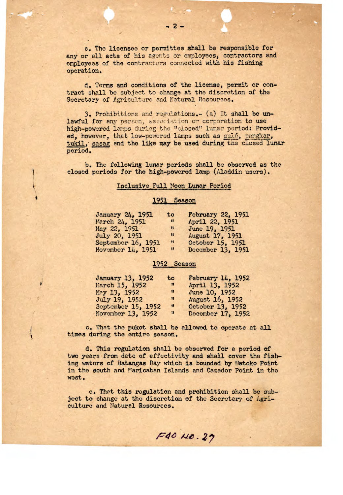c. The licensee or permittee shall be responsible for any or all acts of his agents or employees, contractors and employees of the contractors connected with his fishing operation

d. Terms and conditions of the license, permit or contract shall be subject to change at the discretion of the Secretary of Agriculture and Natural Resources.

*3.* Prohibitions and regi?ations.- (a) it shall be unlawful for any person, association or corporation to use high-powered larps during the "closed" lunar period: Provided, however, that low-powered lamps such as suló, pangkar, tukil, sasag and the like may be used during the closed lunar period.

b. The following lunar periods shall be observed as the closed periods for the high-powered lamp (Aladdin users).

#### Inclusive Full Moon Lunar Period

### 1951 Season

| January 24, 1951   | to                          | February 22, 1951 |
|--------------------|-----------------------------|-------------------|
| March 24, 1951     | $\mathbf{u}$                | April 22, 1951    |
| May 22, 1951       | $\mathbf{H}$                | June 19, 1951     |
| July 20, 1951      | $\mathbf{u}$                | August 17, 1951   |
| September 16, 1951 | Ħ                           | October 15, 1951  |
| November 14, 1951  | $\boldsymbol{\mathfrak{u}}$ | December 13, 1951 |

## 1952 Season

| January 13, 1952   | to                | February 14, 1952 |
|--------------------|-------------------|-------------------|
| March 15, 1952     | $^{\prime\prime}$ | April 13, 1952    |
| May 13, 1952       | $\mathbf{u}$      | June 10, 1952     |
| July 19, 1952      | $^{\circ}$        | August 16, 1952   |
| September 15, 1952 | $\mathbf{u}$      | October 13, 1952  |
| November 13, 1952  | $\mathbf{u}$      | December 17, 1952 |

c. That the pukot shall be allowed to operate at all times during the entire season.

d. This regulation shall be observed for a period of two years from date of effectivity and shall cover the fishing waters of Batangas Bay which is bounded by Natoko Point in the south and Maricaban Islands and Cazador Point in the west.

o. Tht this regulation and prohibition shall be subject to change at the discretion of the Secretary of Agriculture and Natural Resources.

1-<sup>4</sup>**6Ale.** *<sup>27</sup>*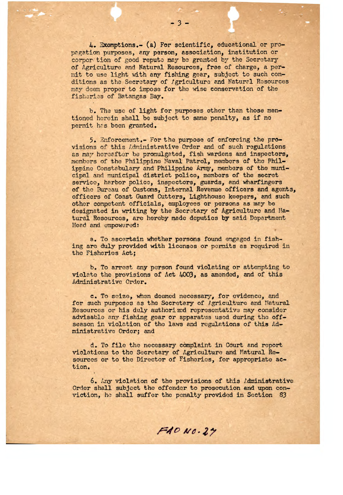4..Exemptions.- (a) For scientific, *educational* or propgation purposes, any person, association, institution or corpor: tion of good repute may be granted by the Secretary of Agriculture and Natural Resources, free of charge, a permit to use light with any fishing gear, subject to such conditions as the Secretary of *Igriculture* and Natural Resources may doom proper to impose for the wise conservation of the fisheries of Batangas Bay.

 $-3-$ 

b. The use of light for purposes other than those mentioned herein shall be subject to same penalty, as if no permit has been granted.

5. Thforcement.- For the purpose of enforcing the provisions of this Ldninistrativo Order and of such regulations as may hereafter be promulgated, fish wardens and inspectors, members of the Philippine Naval Patrol, members of the Philippine Constabulary and Philippine Army, members of the municipal and municipal district police, members of the secret service, harbor police, inspectors, guards, and wharfingors of the Bureau of Customs, Internal Revenue officers and agents, officers of Coast Guard Cutters, Lighthouse keepers, and such other competent officials, employees or persons as may be designated in writing by the Secretary of Agriculture and Natural Resources, are hereby made deputies by said Department Head and empowered:

a. To ascertain whether persons found engaged in fishing are duly provided with licenses or permits as required in the Fisheries Act;

b. To arrest any person found violating or attempting to violate the provisions of Act 4003, as amended, and of this Administrative Order.

c. To seize, when doomed necessary, for evidence, and for such purposes as the Secretary of Agriculture and Natural Resources or his duly authorizod representative may consider advisable any fishing gear or apparatus used during the offseason in violation of the laws and regulations of this Administrative Order; and

d. To file the necessary complaint in Court and report violations to the Secretary of Agriculture and Natural Resources or to the Director of Fisheries, for appropriate action.

*6.* Any violation of the provisions of this Administrative Order shall subject the offender to prosecution and upon conviction, ho shall suffer the penalty **provided in** Section 83

 $FAONO.29$